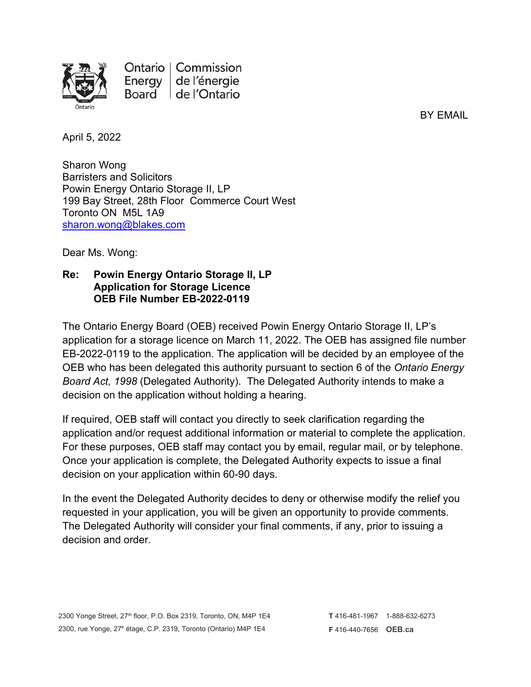

Ontario | Commission Energy de l'énergie Board de l'Ontario

BY EMAIL

April 5, 2022

Sharon Wong Barristers and Solicitors Powin Energy Ontario Storage II, LP 199 Bay Street, 28th Floor Commerce Court West Toronto ON M5L 1A9 [sharon.wong@blakes.com](mailto:sharon.wong@blakes.com)

Dear Ms. Wong:

## **Re: Powin Energy Ontario Storage II, LP Application for Storage Licence OEB File Number EB-2022-0119**

The Ontario Energy Board (OEB) received Powin Energy Ontario Storage II, LP's application for a storage licence on March 11, 2022. The OEB has assigned file number EB-2022-0119 to the application. The application will be decided by an employee of the OEB who has been delegated this authority pursuant to section 6 of the *Ontario Energy Board Act, 1998* (Delegated Authority). The Delegated Authority intends to make a decision on the application without holding a hearing.

If required, OEB staff will contact you directly to seek clarification regarding the application and/or request additional information or material to complete the application. For these purposes, OEB staff may contact you by email, regular mail, or by telephone. Once your application is complete, the Delegated Authority expects to issue a final decision on your application within 60-90 days.

In the event the Delegated Authority decides to deny or otherwise modify the relief you requested in your application, you will be given an opportunity to provide comments. The Delegated Authority will consider your final comments, if any, prior to issuing a decision and order.